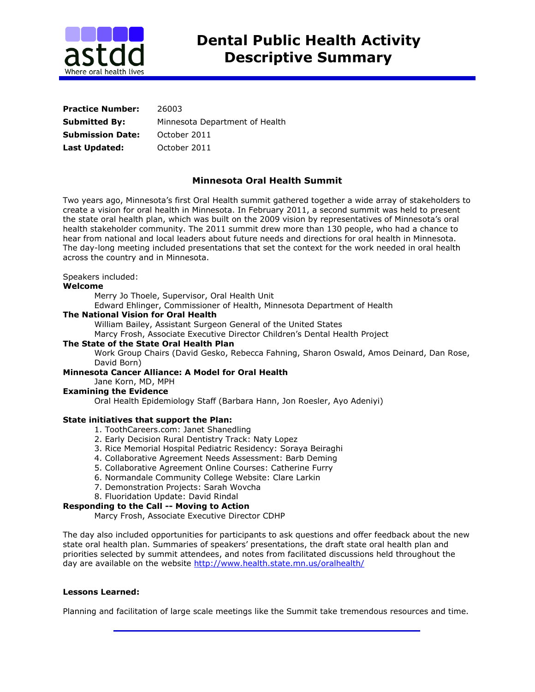

| <b>Practice Number:</b> | 26003                          |
|-------------------------|--------------------------------|
| <b>Submitted By:</b>    | Minnesota Department of Health |
| <b>Submission Date:</b> | October 2011                   |
| Last Updated:           | October 2011                   |

# **Minnesota Oral Health Summit**

Two years ago, Minnesota's first Oral Health summit gathered together a wide array of stakeholders to create a vision for oral health in Minnesota. In February 2011, a second summit was held to present the state oral health plan, which was built on the 2009 vision by representatives of Minnesota's oral health stakeholder community. The 2011 summit drew more than 130 people, who had a chance to hear from national and local leaders about future needs and directions for oral health in Minnesota. The day-long meeting included presentations that set the context for the work needed in oral health across the country and in Minnesota.

## Speakers included:

### **Welcome**

Merry Jo Thoele, Supervisor, Oral Health Unit

Edward Ehlinger, Commissioner of Health, Minnesota Department of Health

### **The National Vision for Oral Health**

William Bailey, Assistant Surgeon General of the United States

Marcy Frosh, Associate Executive Director Children's Dental Health Project

### **The State of the State Oral Health Plan**

Work Group Chairs (David Gesko, Rebecca Fahning, Sharon Oswald, Amos Deinard, Dan Rose, David Born)

## **Minnesota Cancer Alliance: A Model for Oral Health**

Jane Korn, MD, MPH

#### **Examining the Evidence**

Oral Health Epidemiology Staff (Barbara Hann, Jon Roesler, Ayo Adeniyi)

### **State initiatives that support the Plan:**

- 1. ToothCareers.com: Janet Shanedling
- 2. Early Decision Rural Dentistry Track: Naty Lopez
- 3. Rice Memorial Hospital Pediatric Residency: Soraya Beiraghi
- 4. Collaborative Agreement Needs Assessment: Barb Deming
- 5. Collaborative Agreement Online Courses: Catherine Furry
- 6. Normandale Community College Website: Clare Larkin
- 7. Demonstration Projects: Sarah Wovcha
- 8. Fluoridation Update: David Rindal

### **Responding to the Call -- Moving to Action**

Marcy Frosh, Associate Executive Director CDHP

The day also included opportunities for participants to ask questions and offer feedback about the new state oral health plan. Summaries of speakers' presentations, the draft state oral health plan and priorities selected by summit attendees, and notes from facilitated discussions held throughout the day are available on the website<http://www.health.state.mn.us/oralhealth/>

### **Lessons Learned:**

Planning and facilitation of large scale meetings like the Summit take tremendous resources and time.